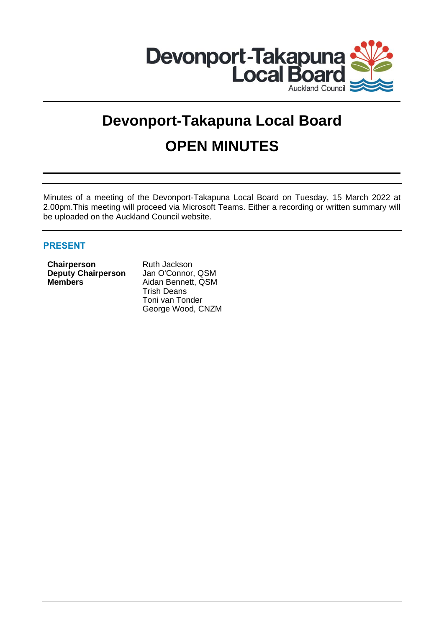

# **Devonport-Takapuna Local Board OPEN MINUTES**

Minutes of a meeting of the Devonport-Takapuna Local Board on Tuesday, 15 March 2022 at 2.00pm.This meeting will proceed via Microsoft Teams. Either a recording or written summary will be uploaded on the Auckland Council website.

# **PRESENT**

**Chairperson** Ruth Jackson<br> **Deputy Chairperson** Jan O'Connor, QSM **Deputy Chairperson**<br>Members

**Members** Aidan Bennett, QSM Trish Deans Toni van Tonder George Wood, CNZM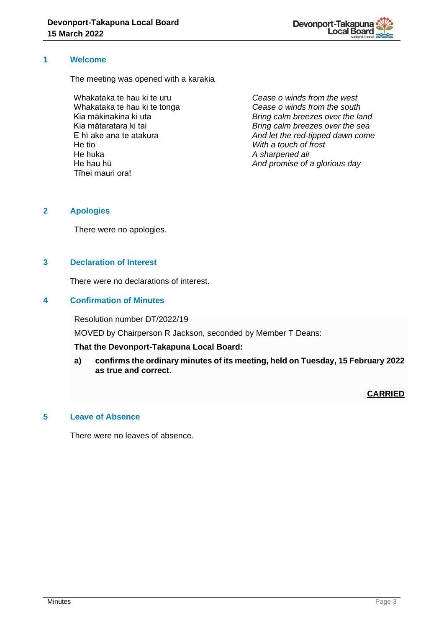

# **1 Welcome**

The meeting was opened with a karakia

Whakataka te hau ki te uru Whakataka te hau ki te tonga Kia mākinakina ki uta Kia mātaratara ki tai E hī ake ana te atakura He tio He huka He hau hū Tīhei mauri ora!

*Cease o winds from the west Cease o winds from the south Bring calm breezes over the land Bring calm breezes over the sea And let the red-tipped dawn come With a touch of frost A sharpened air And promise of a glorious day*

# **2 Apologies**

There were no apologies.

# **3 Declaration of Interest**

There were no declarations of interest.

## **4 Confirmation of Minutes**

Resolution number DT/2022/19

MOVED by Chairperson R Jackson, seconded by Member T Deans:

#### **That the Devonport-Takapuna Local Board:**

**a) confirms the ordinary minutes of its meeting, held on Tuesday, 15 February 2022 as true and correct.**

#### **CARRIED**

## **5 Leave of Absence**

There were no leaves of absence.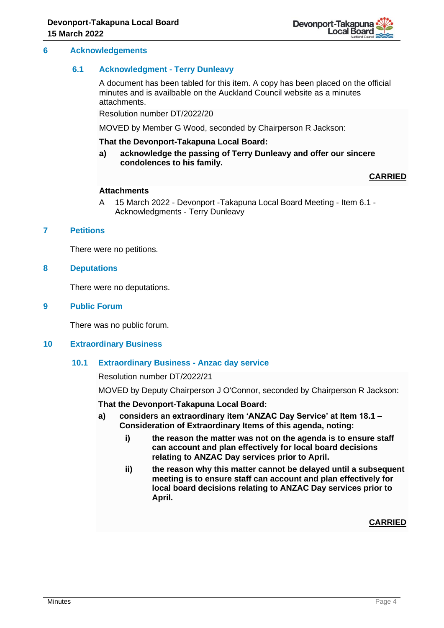#### **6 Acknowledgements**

#### **6.1 Acknowledgment - Terry Dunleavy**

A document has been tabled for this item. A copy has been placed on the official minutes and is availbable on the Auckland Council website as a minutes attachments.

Resolution number DT/2022/20

MOVED by Member G Wood, seconded by Chairperson R Jackson:

#### **That the Devonport-Takapuna Local Board:**

**a) acknowledge the passing of Terry Dunleavy and offer our sincere condolences to his family.**

## **CARRIED**

#### **Attachments**

A 15 March 2022 - Devonport -Takapuna Local Board Meeting - Item 6.1 - Acknowledgments - Terry Dunleavy

# **7 Petitions**

There were no petitions.

#### **8 Deputations**

There were no deputations.

#### **9 Public Forum**

There was no public forum.

#### **10 Extraordinary Business**

#### **10.1 Extraordinary Business - Anzac day service**

Resolution number DT/2022/21

MOVED by Deputy Chairperson J O'Connor, seconded by Chairperson R Jackson:

#### **That the Devonport-Takapuna Local Board:**

- **a) considers an extraordinary item 'ANZAC Day Service' at Item 18.1 – Consideration of Extraordinary Items of this agenda, noting:**
	- **i) the reason the matter was not on the agenda is to ensure staff can account and plan effectively for local board decisions relating to ANZAC Day services prior to April.**
	- **ii) the reason why this matter cannot be delayed until a subsequent meeting is to ensure staff can account and plan effectively for local board decisions relating to ANZAC Day services prior to April.**

**CARRIED**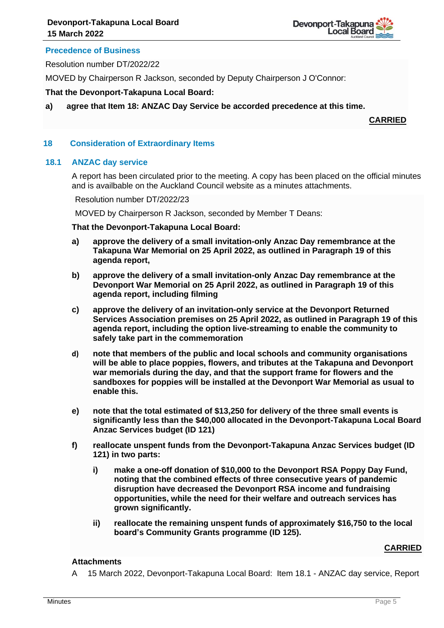

# **Precedence of Business**

Resolution number DT/2022/22

MOVED by Chairperson R Jackson, seconded by Deputy Chairperson J O'Connor:

#### **That the Devonport-Takapuna Local Board:**

**a) agree that Item 18: ANZAC Day Service be accorded precedence at this time.**

**CARRIED**

## **18 Consideration of Extraordinary Items**

#### **18.1 ANZAC day service**

A report has been circulated prior to the meeting. A copy has been placed on the official minutes and is availbable on the Auckland Council website as a minutes attachments.

Resolution number DT/2022/23

MOVED by Chairperson R Jackson, seconded by Member T Deans:

#### **That the Devonport-Takapuna Local Board:**

- **a) approve the delivery of a small invitation-only Anzac Day remembrance at the Takapuna War Memorial on 25 April 2022, as outlined in Paragraph 19 of this agenda report,**
- **b) approve the delivery of a small invitation-only Anzac Day remembrance at the Devonport War Memorial on 25 April 2022, as outlined in Paragraph 19 of this agenda report, including filming**
- **c) approve the delivery of an invitation-only service at the Devonport Returned Services Association premises on 25 April 2022, as outlined in Paragraph 19 of this agenda report, including the option live-streaming to enable the community to safely take part in the commemoration**
- **d) note that members of the public and local schools and community organisations will be able to place poppies, flowers, and tributes at the Takapuna and Devonport war memorials during the day, and that the support frame for flowers and the sandboxes for poppies will be installed at the Devonport War Memorial as usual to enable this.**
- **e) note that the total estimated of \$13,250 for delivery of the three small events is significantly less than the \$40,000 allocated in the Devonport-Takapuna Local Board Anzac Services budget (ID 121)**
- **f) reallocate unspent funds from the Devonport-Takapuna Anzac Services budget (ID 121) in two parts:**
	- **i) make a one-off donation of \$10,000 to the Devonport RSA Poppy Day Fund, noting that the combined effects of three consecutive years of pandemic disruption have decreased the Devonport RSA income and fundraising opportunities, while the need for their welfare and outreach services has grown significantly.**
	- **ii) reallocate the remaining unspent funds of approximately \$16,750 to the local board's Community Grants programme (ID 125).**

#### **CARRIED**

## **Attachments**

A 15 March 2022, Devonport-Takapuna Local Board: Item 18.1 - ANZAC day service, Report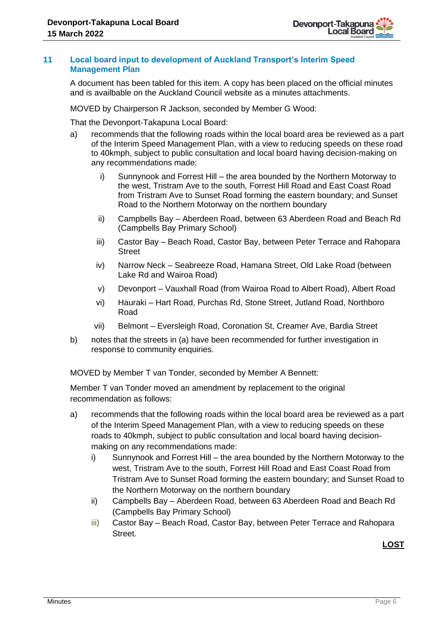# **11 Local board input to development of Auckland Transport's Interim Speed Management Plan**

A document has been tabled for this item. A copy has been placed on the official minutes and is availbable on the Auckland Council website as a minutes attachments.

MOVED by Chairperson R Jackson, seconded by Member G Wood:

That the Devonport-Takapuna Local Board:

- a) recommends that the following roads within the local board area be reviewed as a part of the Interim Speed Management Plan, with a view to reducing speeds on these road to 40kmph, subject to public consultation and local board having decision-making on any recommendations made:
	- i) Sunnynook and Forrest Hill the area bounded by the Northern Motorway to the west, Tristram Ave to the south, Forrest Hill Road and East Coast Road from Tristram Ave to Sunset Road forming the eastern boundary; and Sunset Road to the Northern Motorway on the northern boundary
	- ii) Campbells Bay Aberdeen Road, between 63 Aberdeen Road and Beach Rd (Campbells Bay Primary School)
	- iii) Castor Bay Beach Road, Castor Bay, between Peter Terrace and Rahopara **Street**
	- iv) Narrow Neck Seabreeze Road, Hamana Street, Old Lake Road (between Lake Rd and Wairoa Road)
	- v) Devonport Vauxhall Road (from Wairoa Road to Albert Road), Albert Road
	- vi) Hauraki Hart Road, Purchas Rd, Stone Street, Jutland Road, Northboro Road
	- vii) Belmont Eversleigh Road, Coronation St, Creamer Ave, Bardia Street
- b) notes that the streets in (a) have been recommended for further investigation in response to community enquiries.

MOVED by Member T van Tonder, seconded by Member A Bennett:

Member T van Tonder moved an amendment by replacement to the original recommendation as follows:

- a) recommends that the following roads within the local board area be reviewed as a part of the Interim Speed Management Plan, with a view to reducing speeds on these roads to 40kmph, subject to public consultation and local board having decisionmaking on any recommendations made:
	- i) Sunnynook and Forrest Hill the area bounded by the Northern Motorway to the west, Tristram Ave to the south, Forrest Hill Road and East Coast Road from Tristram Ave to Sunset Road forming the eastern boundary; and Sunset Road to the Northern Motorway on the northern boundary
	- ii) Campbells Bay Aberdeen Road, between 63 Aberdeen Road and Beach Rd (Campbells Bay Primary School)
	- iii) Castor Bay Beach Road, Castor Bay, between Peter Terrace and Rahopara Street.

**LOST**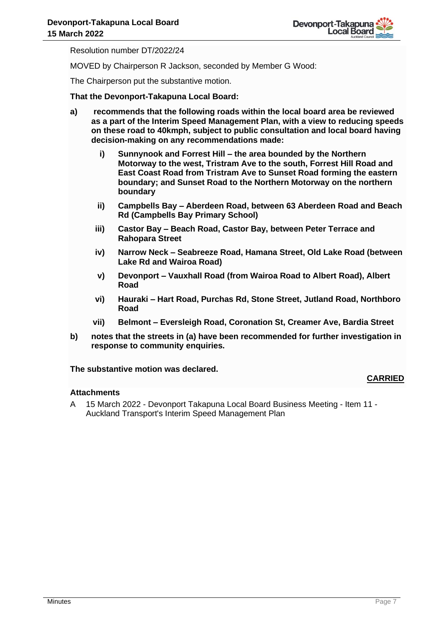Resolution number DT/2022/24

MOVED by Chairperson R Jackson, seconded by Member G Wood:

The Chairperson put the substantive motion.

# **That the Devonport-Takapuna Local Board:**

- **a) recommends that the following roads within the local board area be reviewed as a part of the Interim Speed Management Plan, with a view to reducing speeds on these road to 40kmph, subject to public consultation and local board having decision-making on any recommendations made:**
	- **i) Sunnynook and Forrest Hill – the area bounded by the Northern Motorway to the west, Tristram Ave to the south, Forrest Hill Road and East Coast Road from Tristram Ave to Sunset Road forming the eastern boundary; and Sunset Road to the Northern Motorway on the northern boundary**
	- **ii) Campbells Bay – Aberdeen Road, between 63 Aberdeen Road and Beach Rd (Campbells Bay Primary School)**
	- **iii) Castor Bay – Beach Road, Castor Bay, between Peter Terrace and Rahopara Street**
	- **iv) Narrow Neck – Seabreeze Road, Hamana Street, Old Lake Road (between Lake Rd and Wairoa Road)**
	- **v) Devonport – Vauxhall Road (from Wairoa Road to Albert Road), Albert Road**
	- **vi) Hauraki – Hart Road, Purchas Rd, Stone Street, Jutland Road, Northboro Road**
	- **vii) Belmont – Eversleigh Road, Coronation St, Creamer Ave, Bardia Street**
- **b) notes that the streets in (a) have been recommended for further investigation in response to community enquiries.**

#### **The substantive motion was declared.**

#### **Attachments**

A 15 March 2022 - Devonport Takapuna Local Board Business Meeting - Item 11 - Auckland Transport's Interim Speed Management Plan

**CARRIED**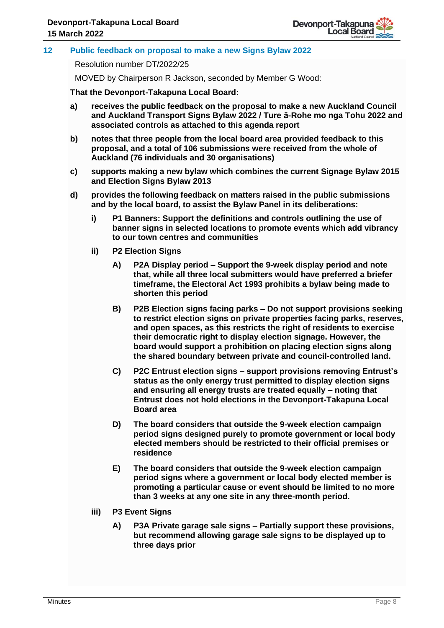# **12 Public feedback on proposal to make a new Signs Bylaw 2022**

Resolution number DT/2022/25

MOVED by Chairperson R Jackson, seconded by Member G Wood:

**That the Devonport-Takapuna Local Board:** 

- **a) receives the public feedback on the proposal to make a new Auckland Council and Auckland Transport Signs Bylaw 2022 / Ture ā-Rohe mo nga Tohu 2022 and associated controls as attached to this agenda report**
- **b) notes that three people from the local board area provided feedback to this proposal, and a total of 106 submissions were received from the whole of Auckland (76 individuals and 30 organisations)**
- **c) supports making a new bylaw which combines the current Signage Bylaw 2015 and Election Signs Bylaw 2013**
- **d) provides the following feedback on matters raised in the public submissions and by the local board, to assist the Bylaw Panel in its deliberations:**
	- **i) P1 Banners: Support the definitions and controls outlining the use of banner signs in selected locations to promote events which add vibrancy to our town centres and communities**
	- **ii) P2 Election Signs**
		- **A) P2A Display period – Support the 9-week display period and note that, while all three local submitters would have preferred a briefer timeframe, the Electoral Act 1993 prohibits a bylaw being made to shorten this period**
		- **B) P2B Election signs facing parks – Do not support provisions seeking to restrict election signs on private properties facing parks, reserves, and open spaces, as this restricts the right of residents to exercise their democratic right to display election signage. However, the board would support a prohibition on placing election signs along the shared boundary between private and council-controlled land.**
		- **C) P2C Entrust election signs – support provisions removing Entrust's status as the only energy trust permitted to display election signs and ensuring all energy trusts are treated equally – noting that Entrust does not hold elections in the Devonport-Takapuna Local Board area**
		- **D) The board considers that outside the 9-week election campaign period signs designed purely to promote government or local body elected members should be restricted to their official premises or residence**
		- **E) The board considers that outside the 9-week election campaign period signs where a government or local body elected member is promoting a particular cause or event should be limited to no more than 3 weeks at any one site in any three-month period.**
	- **iii) P3 Event Signs** 
		- **A) P3A Private garage sale signs – Partially support these provisions, but recommend allowing garage sale signs to be displayed up to three days prior**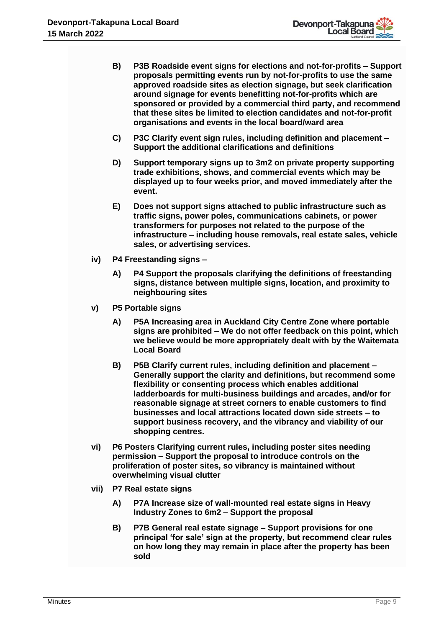- **B) P3B Roadside event signs for elections and not-for-profits – Support proposals permitting events run by not-for-profits to use the same approved roadside sites as election signage, but seek clarification around signage for events benefitting not-for-profits which are sponsored or provided by a commercial third party, and recommend that these sites be limited to election candidates and not-for-profit organisations and events in the local board/ward area**
- **C) P3C Clarify event sign rules, including definition and placement – Support the additional clarifications and definitions**
- **D) Support temporary signs up to 3m2 on private property supporting trade exhibitions, shows, and commercial events which may be displayed up to four weeks prior, and moved immediately after the event.**
- **E) Does not support signs attached to public infrastructure such as traffic signs, power poles, communications cabinets, or power transformers for purposes not related to the purpose of the infrastructure – including house removals, real estate sales, vehicle sales, or advertising services.**
- **iv) P4 Freestanding signs –**
	- **A) P4 Support the proposals clarifying the definitions of freestanding signs, distance between multiple signs, location, and proximity to neighbouring sites**
- **v) P5 Portable signs** 
	- **A) P5A Increasing area in Auckland City Centre Zone where portable signs are prohibited – We do not offer feedback on this point, which we believe would be more appropriately dealt with by the Waitemata Local Board**
	- **B) P5B Clarify current rules, including definition and placement – Generally support the clarity and definitions, but recommend some flexibility or consenting process which enables additional ladderboards for multi-business buildings and arcades, and/or for reasonable signage at street corners to enable customers to find businesses and local attractions located down side streets – to support business recovery, and the vibrancy and viability of our shopping centres.**
- **vi) P6 Posters Clarifying current rules, including poster sites needing permission – Support the proposal to introduce controls on the proliferation of poster sites, so vibrancy is maintained without overwhelming visual clutter**
- **vii) P7 Real estate signs** 
	- **A) P7A Increase size of wall-mounted real estate signs in Heavy Industry Zones to 6m2 – Support the proposal**
	- **B) P7B General real estate signage – Support provisions for one principal 'for sale' sign at the property, but recommend clear rules on how long they may remain in place after the property has been sold**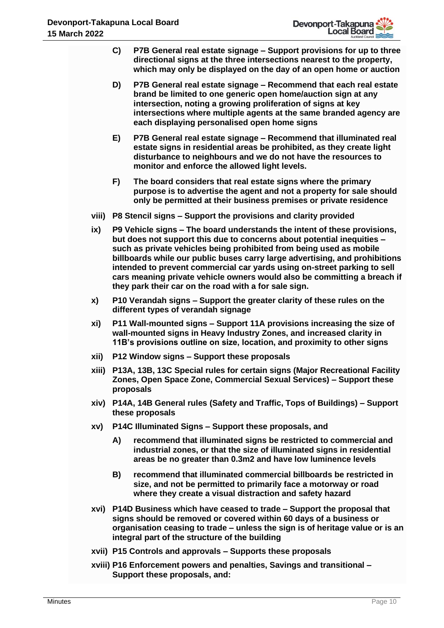| h 2022 |                                                                                                                                                                                                                            | Local Board<br>Auckland Council                                                                                                                                                                                                                                                                                                                                                                                                                                                                                           |  |
|--------|----------------------------------------------------------------------------------------------------------------------------------------------------------------------------------------------------------------------------|---------------------------------------------------------------------------------------------------------------------------------------------------------------------------------------------------------------------------------------------------------------------------------------------------------------------------------------------------------------------------------------------------------------------------------------------------------------------------------------------------------------------------|--|
|        | C)                                                                                                                                                                                                                         | P7B General real estate signage – Support provisions for up to three<br>directional signs at the three intersections nearest to the property,<br>which may only be displayed on the day of an open home or auction                                                                                                                                                                                                                                                                                                        |  |
|        | D)                                                                                                                                                                                                                         | P7B General real estate signage - Recommend that each real estate<br>brand be limited to one generic open home/auction sign at any<br>intersection, noting a growing proliferation of signs at key<br>intersections where multiple agents at the same branded agency are<br>each displaying personalised open home signs                                                                                                                                                                                                  |  |
|        | E)                                                                                                                                                                                                                         | P7B General real estate signage - Recommend that illuminated real<br>estate signs in residential areas be prohibited, as they create light<br>disturbance to neighbours and we do not have the resources to<br>monitor and enforce the allowed light levels.                                                                                                                                                                                                                                                              |  |
|        | F)                                                                                                                                                                                                                         | The board considers that real estate signs where the primary<br>purpose is to advertise the agent and not a property for sale should<br>only be permitted at their business premises or private residence                                                                                                                                                                                                                                                                                                                 |  |
| viii)  |                                                                                                                                                                                                                            | P8 Stencil signs - Support the provisions and clarity provided                                                                                                                                                                                                                                                                                                                                                                                                                                                            |  |
| ix)    |                                                                                                                                                                                                                            | P9 Vehicle signs – The board understands the intent of these provisions,<br>but does not support this due to concerns about potential inequities -<br>such as private vehicles being prohibited from being used as mobile<br>billboards while our public buses carry large advertising, and prohibitions<br>intended to prevent commercial car yards using on-street parking to sell<br>cars meaning private vehicle owners would also be committing a breach if<br>they park their car on the road with a for sale sign. |  |
| X)     |                                                                                                                                                                                                                            | P10 Verandah signs – Support the greater clarity of these rules on the<br>different types of verandah signage                                                                                                                                                                                                                                                                                                                                                                                                             |  |
| xi)    | P11 Wall-mounted signs - Support 11A provisions increasing the size of<br>wall-mounted signs in Heavy Industry Zones, and increased clarity in<br>11B's provisions outline on size, location, and proximity to other signs |                                                                                                                                                                                                                                                                                                                                                                                                                                                                                                                           |  |
| xii)   |                                                                                                                                                                                                                            | P12 Window signs - Support these proposals                                                                                                                                                                                                                                                                                                                                                                                                                                                                                |  |
|        |                                                                                                                                                                                                                            | xiii) P13A, 13B, 13C Special rules for certain signs (Major Recreational Facility<br>Zones, Open Space Zone, Commercial Sexual Services) - Support these<br>proposals                                                                                                                                                                                                                                                                                                                                                     |  |
|        |                                                                                                                                                                                                                            | xiv) P14A, 14B General rules (Safety and Traffic, Tops of Buildings) – Support<br>these proposals                                                                                                                                                                                                                                                                                                                                                                                                                         |  |
| XV)    |                                                                                                                                                                                                                            | P14C Illuminated Signs - Support these proposals, and                                                                                                                                                                                                                                                                                                                                                                                                                                                                     |  |
|        | A)                                                                                                                                                                                                                         | recommend that illuminated signs be restricted to commercial and<br>industrial zones, or that the size of illuminated signs in residential<br>areas be no greater than 0.3m2 and have low luminence levels                                                                                                                                                                                                                                                                                                                |  |
|        | B)                                                                                                                                                                                                                         | recommend that illuminated commercial billboards be restricted in<br>size, and not be permitted to primarily face a motorway or road<br>where they create a visual distraction and safety hazard                                                                                                                                                                                                                                                                                                                          |  |
|        |                                                                                                                                                                                                                            | xvi) P14D Business which have ceased to trade - Support the proposal that<br>signs should be removed or covered within 60 days of a business or<br>organisation ceasing to trade - unless the sign is of heritage value or is an<br>integral part of the structure of the building                                                                                                                                                                                                                                        |  |
|        |                                                                                                                                                                                                                            | xvii) P15 Controls and approvals – Supports these proposals                                                                                                                                                                                                                                                                                                                                                                                                                                                               |  |
|        |                                                                                                                                                                                                                            | xviii) P16 Enforcement powers and penalties, Savings and transitional -                                                                                                                                                                                                                                                                                                                                                                                                                                                   |  |

**Support these proposals, and:**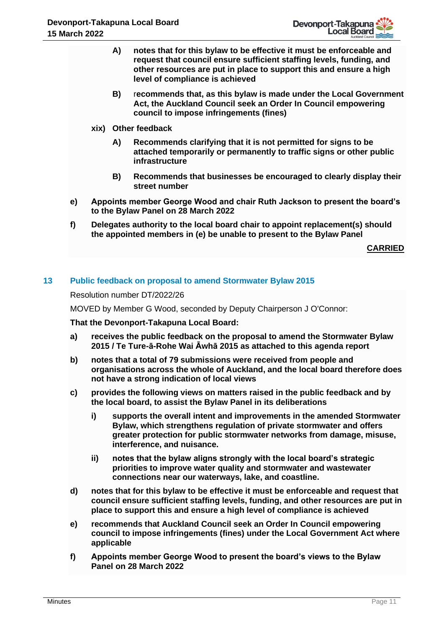- **A) notes that for this bylaw to be effective it must be enforceable and request that council ensure sufficient staffing levels, funding, and other resources are put in place to support this and ensure a high level of compliance is achieved**
- **B)** r**ecommends that, as this bylaw is made under the Local Government Act, the Auckland Council seek an Order In Council empowering council to impose infringements (fines)**
- **xix) Other feedback**
	- **A) Recommends clarifying that it is not permitted for signs to be attached temporarily or permanently to traffic signs or other public infrastructure**
	- **B) Recommends that businesses be encouraged to clearly display their street number**
- **e) Appoints member George Wood and chair Ruth Jackson to present the board's to the Bylaw Panel on 28 March 2022**
- **f) Delegates authority to the local board chair to appoint replacement(s) should the appointed members in (e) be unable to present to the Bylaw Panel**

**CARRIED**

# **13 Public feedback on proposal to amend Stormwater Bylaw 2015**

Resolution number DT/2022/26

MOVED by Member G Wood, seconded by Deputy Chairperson J O'Connor:

**That the Devonport-Takapuna Local Board:** 

- **a) receives the public feedback on the proposal to amend the Stormwater Bylaw 2015 / Te Ture-ā-Rohe Wai Āwhā 2015 as attached to this agenda report**
- **b) notes that a total of 79 submissions were received from people and organisations across the whole of Auckland, and the local board therefore does not have a strong indication of local views**
- **c) provides the following views on matters raised in the public feedback and by the local board, to assist the Bylaw Panel in its deliberations**
	- **i) supports the overall intent and improvements in the amended Stormwater Bylaw, which strengthens regulation of private stormwater and offers greater protection for public stormwater networks from damage, misuse, interference, and nuisance.**
	- **ii) notes that the bylaw aligns strongly with the local board's strategic priorities to improve water quality and stormwater and wastewater connections near our waterways, lake, and coastline.**
- **d) notes that for this bylaw to be effective it must be enforceable and request that council ensure sufficient staffing levels, funding, and other resources are put in place to support this and ensure a high level of compliance is achieved**
- **e) recommends that Auckland Council seek an Order In Council empowering council to impose infringements (fines) under the Local Government Act where applicable**
- **f) Appoints member George Wood to present the board's views to the Bylaw Panel on 28 March 2022**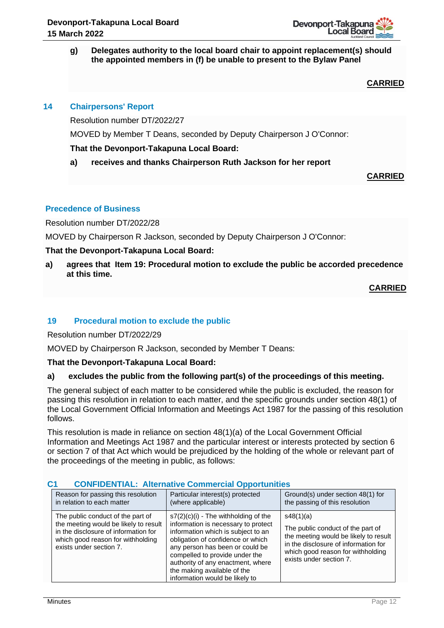

## **g) Delegates authority to the local board chair to appoint replacement(s) should the appointed members in (f) be unable to present to the Bylaw Panel**

**CARRIED**

# **14 Chairpersons' Report**

Resolution number DT/2022/27

MOVED by Member T Deans, seconded by Deputy Chairperson J O'Connor:

# **That the Devonport-Takapuna Local Board:**

# **a) receives and thanks Chairperson Ruth Jackson for her report**

**CARRIED**

# **Precedence of Business**

Resolution number DT/2022/28

MOVED by Chairperson R Jackson, seconded by Deputy Chairperson J O'Connor:

# **That the Devonport-Takapuna Local Board:**

**a) agrees that Item 19: Procedural motion to exclude the public be accorded precedence at this time.**

**CARRIED**

# **19 Procedural motion to exclude the public**

Resolution number DT/2022/29

MOVED by Chairperson R Jackson, seconded by Member T Deans:

# **That the Devonport-Takapuna Local Board:**

# **a) excludes the public from the following part(s) of the proceedings of this meeting.**

The general subject of each matter to be considered while the public is excluded, the reason for passing this resolution in relation to each matter, and the specific grounds under section 48(1) of the Local Government Official Information and Meetings Act 1987 for the passing of this resolution follows.

This resolution is made in reliance on section 48(1)(a) of the Local Government Official Information and Meetings Act 1987 and the particular interest or interests protected by section 6 or section 7 of that Act which would be prejudiced by the holding of the whole or relevant part of the proceedings of the meeting in public, as follows:

| Reason for passing this resolution                                                                                                                                                 |  | Particular interest(s) protected                                                                                                                                                                                                                                                                                                    | Ground(s) under section 48(1) for                                                                                                                                                               |
|------------------------------------------------------------------------------------------------------------------------------------------------------------------------------------|--|-------------------------------------------------------------------------------------------------------------------------------------------------------------------------------------------------------------------------------------------------------------------------------------------------------------------------------------|-------------------------------------------------------------------------------------------------------------------------------------------------------------------------------------------------|
| in relation to each matter                                                                                                                                                         |  | (where applicable)                                                                                                                                                                                                                                                                                                                  | the passing of this resolution                                                                                                                                                                  |
| The public conduct of the part of<br>the meeting would be likely to result<br>in the disclosure of information for<br>which good reason for withholding<br>exists under section 7. |  | $s7(2)(c)(i)$ - The withholding of the<br>information is necessary to protect<br>information which is subject to an<br>obligation of confidence or which<br>any person has been or could be<br>compelled to provide under the<br>authority of any enactment, where<br>the making available of the<br>information would be likely to | s48(1)(a)<br>The public conduct of the part of<br>the meeting would be likely to result<br>in the disclosure of information for<br>which good reason for withholding<br>exists under section 7. |

# **C1 CONFIDENTIAL: Alternative Commercial Opportunities**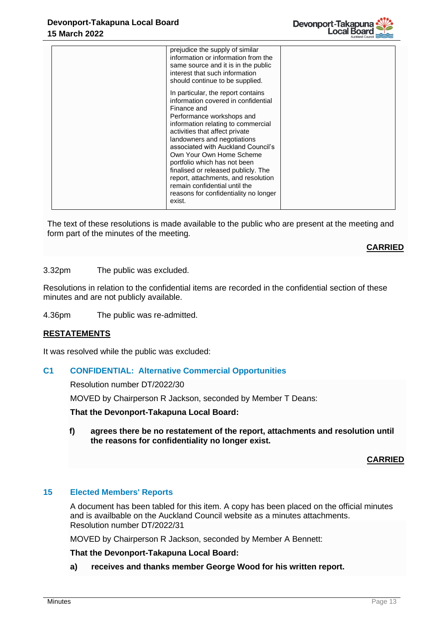| prejudice the supply of similar<br>information or information from the<br>same source and it is in the public<br>interest that such information<br>should continue to be supplied.<br>In particular, the report contains<br>information covered in confidential<br>Finance and<br>Performance workshops and<br>information relating to commercial<br>activities that affect private<br>landowners and negotiations<br>associated with Auckland Council's<br>Own Your Own Home Scheme<br>portfolio which has not been |  |
|----------------------------------------------------------------------------------------------------------------------------------------------------------------------------------------------------------------------------------------------------------------------------------------------------------------------------------------------------------------------------------------------------------------------------------------------------------------------------------------------------------------------|--|
| finalised or released publicly. The<br>report, attachments, and resolution<br>remain confidential until the<br>reasons for confidentiality no longer<br>exist.                                                                                                                                                                                                                                                                                                                                                       |  |

The text of these resolutions is made available to the public who are present at the meeting and form part of the minutes of the meeting.

**CARRIED**

3.32pm The public was excluded.

Resolutions in relation to the confidential items are recorded in the confidential section of these minutes and are not publicly available.

4.36pm The public was re-admitted.

# **RESTATEMENTS**

It was resolved while the public was excluded:

#### **C1 CONFIDENTIAL: Alternative Commercial Opportunities**

Resolution number DT/2022/30

MOVED by Chairperson R Jackson, seconded by Member T Deans:

**That the Devonport-Takapuna Local Board:**

**f) agrees there be no restatement of the report, attachments and resolution until the reasons for confidentiality no longer exist.** 

#### **CARRIED**

# **15 Elected Members' Reports**

A document has been tabled for this item. A copy has been placed on the official minutes and is availbable on the Auckland Council website as a minutes attachments. Resolution number DT/2022/31

MOVED by Chairperson R Jackson, seconded by Member A Bennett:

**That the Devonport-Takapuna Local Board:**

**a) receives and thanks member George Wood for his written report.**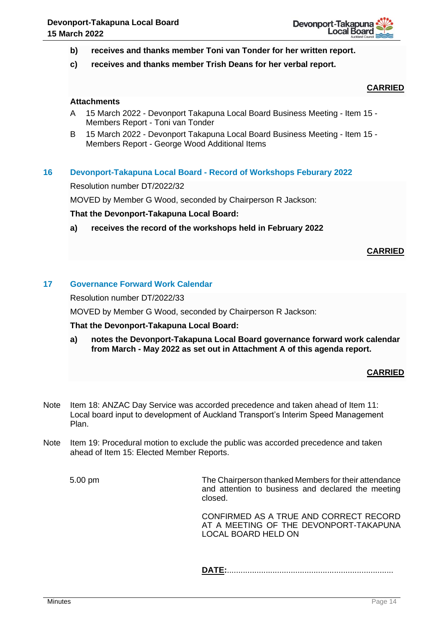

- **b) receives and thanks member Toni van Tonder for her written report.**
- **c) receives and thanks member Trish Deans for her verbal report.**

# **CARRIED**

## **Attachments**

- A 15 March 2022 Devonport Takapuna Local Board Business Meeting Item 15 Members Report - Toni van Tonder
- B 15 March 2022 Devonport Takapuna Local Board Business Meeting Item 15 Members Report - George Wood Additional Items

## **16 Devonport-Takapuna Local Board - Record of Workshops Feburary 2022**

Resolution number DT/2022/32

MOVED by Member G Wood, seconded by Chairperson R Jackson:

#### **That the Devonport-Takapuna Local Board:**

**a) receives the record of the workshops held in February 2022**

## **CARRIED**

# **17 Governance Forward Work Calendar**

Resolution number DT/2022/33

MOVED by Member G Wood, seconded by Chairperson R Jackson:

**That the Devonport-Takapuna Local Board:**

**a) notes the Devonport-Takapuna Local Board governance forward work calendar from March - May 2022 as set out in Attachment A of this agenda report.**

#### **CARRIED**

- Note Item 18: ANZAC Day Service was accorded precedence and taken ahead of Item 11: Local board input to development of Auckland Transport's Interim Speed Management Plan.
- Note Item 19: Procedural motion to exclude the public was accorded precedence and taken ahead of Item 15: Elected Member Reports.

5.00 pm The Chairperson thanked Members for their attendance and attention to business and declared the meeting closed.

> CONFIRMED AS A TRUE AND CORRECT RECORD AT A MEETING OF THE DEVONPORT-TAKAPUNA LOCAL BOARD HELD ON

**DATE:**.........................................................................